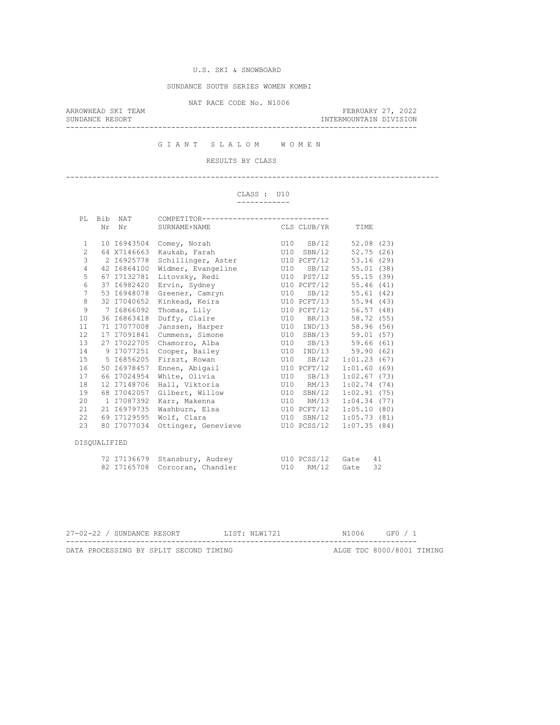## SUNDANCE SOUTH SERIES WOMEN KOMBI

NAT RACE CODE No. N1006

ARROWHEAD SKI TEAM FEBRUARY 27, 2022 SUNDANCE RESORT INTERMOUNTAIN DIVISION --------------------------------------------------------------------------------

G I A N T S L A L O M W O M E N

# RESULTS BY CLASS

-------------------------------------------------------------------------------------

#### CLASS : U10 ------------

| PL             | Bib          | NAT         | COMPETITOR-------------------------              |             |             |             |    |
|----------------|--------------|-------------|--------------------------------------------------|-------------|-------------|-------------|----|
|                |              | Nr Nr       | SURNAME+NAME                                     | CLS CLUB/YR |             | TIME        |    |
| $\mathbf{1}$   |              | 10 I6943504 | Comey, Norah                                     |             | U10 SB/12   | 52.08(23)   |    |
| $\overline{c}$ |              | 64 X7146663 | Kaukab, Farah                                    |             | U10 SBN/12  | 52.75(26)   |    |
| 3              |              | 2 16925778  | Schillinger, Aster                               |             | U10 PCFT/12 | 53.16(29)   |    |
| $\overline{4}$ |              | 42 I6864100 | Widmer, Evangeline                               |             | U10 SB/12   | 55.01(38)   |    |
| 5              |              | 67 17132781 | Litovsky, Redi                                   |             | U10 PST/12  | 55.15(39)   |    |
| 6              |              | 37 I6982420 | Ervin, Sydney                                    |             | U10 PCFT/12 | 55.46(41)   |    |
| 7              |              | 53 I6948078 | Greener, Camryn                                  | U10         | SB/12       | 55.61(42)   |    |
| 8              |              | 32 I7040652 | Kinkead, Keira                                   |             | U10 PCFT/13 | 55.94 (43)  |    |
| 9              |              | 7 16866092  | Thomas, Lily                                     |             | U10 PCFT/12 | 56.57(48)   |    |
| 10             |              | 36 16863418 | Duffy, Claire                                    |             | U10 BR/13   | 58.72 (55)  |    |
| 11             |              | 71 I7077008 | Janssen, Harper                                  |             | U10 IND/13  | 58.96 (56)  |    |
| 12             |              | 17 I7091841 | Cummens, Simone                                  |             | U10 SBN/13  | 59.01 (57)  |    |
| 13             |              | 27 17022705 | Chamorro, Alba                                   |             | U10 SB/13   | 59.66 (61)  |    |
| 14             |              | 9 17077251  | Cooper, Bailey                                   |             | U10 IND/13  | 59.90(62)   |    |
| 15             |              | 5 16856205  | Firszt, Rowan                                    |             | U10 SB/12   | 1:01.23(67) |    |
| 16             |              | 50 16978457 | Ennen, Abigail                                   |             | U10 PCFT/12 | 1:01.60(69) |    |
| 17             |              | 66 I7024954 | White, Olivia                                    |             | U10 SB/13   | 1:02.67(73) |    |
| 18             |              | 12 I7148706 | Hall, Viktoria                                   |             | U10 RM/13   | 1:02.74(74) |    |
| 19             |              | 68 17042057 | Gilbert, Willow                                  |             | U10 SBN/12  | 1:02.91(75) |    |
| 20             |              | 1 17087392  | Karr, Makenna                                    |             | U10 RM/13   | 1:04.34(77) |    |
| 21             |              | 21 16979735 | Washburn, Elsa                                   |             | U10 PCFT/12 | 1:05.10(80) |    |
| 22             |              | 69 17129595 | Wolf, Clara                                      |             | U10 SBN/12  | 1:05.73(81) |    |
| 23             |              | 80 I7077034 | Ottinger, Genevieve                              |             | U10 PCSS/12 | 1:07.35(84) |    |
|                | DISOUALIFIED |             |                                                  |             |             |             |    |
|                |              |             | 72 I7136679 Stansbury, Audrey 6 U10 PCSS/12 Gate |             |             |             | 41 |
|                |              |             | 82 I7165708 Corcoran, Chandler                   |             | U10 RM/12   | Gate        | 32 |

| 27-02-22 / SUNDANCE RESORT             | T.TST: NT.W1721 | N1006 GF0 / 1             |
|----------------------------------------|-----------------|---------------------------|
| DATA PROCESSING BY SPLIT SECOND TIMING |                 | ALGE TDC 8000/8001 TIMING |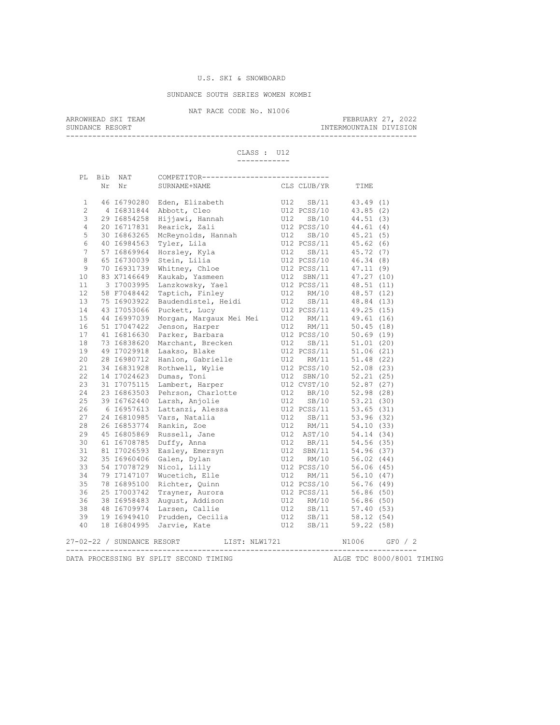## SUNDANCE SOUTH SERIES WOMEN KOMBI

NAT RACE CODE No. N1006<br>ARROWHEAD SKI TEAM

ARROWHEAD SKI TEAM FEBRUARY 27, 2022 SUNDANCE RESORT **INTERMOUNTAIN DIVISION** 

--------------------------------------------------------------------------------

 CLASS : U12 ------------

|    | PL Bib NAT | COMPETITOR-----------------------------                                                                                                                                                                                                                                            |  |                  |                           |
|----|------------|------------------------------------------------------------------------------------------------------------------------------------------------------------------------------------------------------------------------------------------------------------------------------------|--|------------------|---------------------------|
| Nr | Nr         | SURNAME+NAME                                                                                                                                                                                                                                                                       |  | CLS CLUB/YR TIME |                           |
|    |            |                                                                                                                                                                                                                                                                                    |  |                  |                           |
|    |            |                                                                                                                                                                                                                                                                                    |  |                  |                           |
|    |            |                                                                                                                                                                                                                                                                                    |  |                  |                           |
|    |            |                                                                                                                                                                                                                                                                                    |  |                  |                           |
|    |            |                                                                                                                                                                                                                                                                                    |  |                  |                           |
|    |            |                                                                                                                                                                                                                                                                                    |  |                  |                           |
|    |            |                                                                                                                                                                                                                                                                                    |  |                  |                           |
|    |            |                                                                                                                                                                                                                                                                                    |  |                  |                           |
|    |            |                                                                                                                                                                                                                                                                                    |  |                  |                           |
|    |            |                                                                                                                                                                                                                                                                                    |  |                  |                           |
|    |            |                                                                                                                                                                                                                                                                                    |  |                  |                           |
|    |            |                                                                                                                                                                                                                                                                                    |  |                  |                           |
|    |            |                                                                                                                                                                                                                                                                                    |  |                  |                           |
|    |            |                                                                                                                                                                                                                                                                                    |  |                  |                           |
|    |            |                                                                                                                                                                                                                                                                                    |  |                  |                           |
|    |            |                                                                                                                                                                                                                                                                                    |  |                  |                           |
|    |            |                                                                                                                                                                                                                                                                                    |  |                  |                           |
|    |            |                                                                                                                                                                                                                                                                                    |  |                  |                           |
|    |            |                                                                                                                                                                                                                                                                                    |  |                  |                           |
|    |            |                                                                                                                                                                                                                                                                                    |  |                  |                           |
|    |            |                                                                                                                                                                                                                                                                                    |  |                  |                           |
|    |            |                                                                                                                                                                                                                                                                                    |  |                  |                           |
|    |            |                                                                                                                                                                                                                                                                                    |  |                  |                           |
|    |            |                                                                                                                                                                                                                                                                                    |  |                  |                           |
|    |            |                                                                                                                                                                                                                                                                                    |  |                  |                           |
|    |            |                                                                                                                                                                                                                                                                                    |  |                  |                           |
|    |            |                                                                                                                                                                                                                                                                                    |  |                  |                           |
|    |            |                                                                                                                                                                                                                                                                                    |  |                  |                           |
|    |            |                                                                                                                                                                                                                                                                                    |  |                  |                           |
|    |            |                                                                                                                                                                                                                                                                                    |  |                  |                           |
|    |            |                                                                                                                                                                                                                                                                                    |  |                  |                           |
|    |            |                                                                                                                                                                                                                                                                                    |  |                  |                           |
|    |            |                                                                                                                                                                                                                                                                                    |  |                  |                           |
|    |            |                                                                                                                                                                                                                                                                                    |  |                  |                           |
|    |            |                                                                                                                                                                                                                                                                                    |  |                  |                           |
|    |            |                                                                                                                                                                                                                                                                                    |  |                  |                           |
|    |            |                                                                                                                                                                                                                                                                                    |  |                  |                           |
|    |            |                                                                                                                                                                                                                                                                                    |  |                  |                           |
|    |            |                                                                                                                                                                                                                                                                                    |  |                  |                           |
|    |            |                                                                                                                                                                                                                                                                                    |  |                  |                           |
|    |            | CA SAN 641 CONFERENCE (15 CM)<br>16 Nr 6789260 Edges (1100-111)<br>2 4 T6831844 Abbott, Cleo 112 SS2/10 43.65 (2)<br>3 16831844 Abbott, Cleo 112 SS2/10 43.65 (2)<br>3 1683268 Hijawi, Hanah 113 SS2/10 44.61 (4)<br>3 100 16932626 Nr<br>27-02-22 / SUNDANCE RESORT LIST: NLW1721 |  |                  |                           |
|    |            | DATA PROCESSING BY SPLIT SECOND TIMING                                                                                                                                                                                                                                             |  |                  | ALGE TDC 8000/8001 TIMING |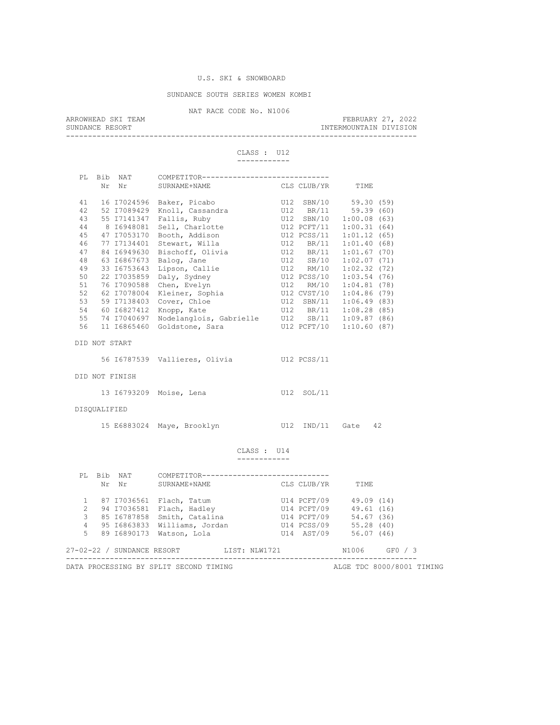#### SUNDANCE SOUTH SERIES WOMEN KOMBI

NAT RACE CODE No. N1006<br>ARROWHEAD SKI TEAM

ARROWHEAD SKI TEAM FEBRUARY 27, 2022 SUNDANCE RESORT **INTERMOUNTAIN DIVISION** 

--------------------------------------------------------------------------------

#### CLASS : U12 ------------

| PT.  | Bib | NAT         | COMPETITOR---------------------- |     |             |                |      |
|------|-----|-------------|----------------------------------|-----|-------------|----------------|------|
|      | Nr  | Nr          | SURNAME+NAME                     |     | CLS CLUB/YR | TIME           |      |
|      |     |             |                                  |     |             |                |      |
| 41   |     | 16 17024596 | Baker, Picabo                    |     | U12 SBN/10  | 59.30 (59)     |      |
| 42   |     | 52 17089429 | Knoll, Cassandra                 |     | U12 BR/11   | 59.39(60)      |      |
| 43   |     | 55 17141347 | Fallis, Ruby                     |     | U12 SBN/10  | 1:00.08(63)    |      |
| 44   |     | 8 16948081  | Sell, Charlotte                  |     | U12 PCFT/11 | 1:00.31(64)    |      |
| 45   |     | 47 I7053170 | Booth, Addison                   |     | U12 PCSS/11 | 1:01.12(65)    |      |
| 46   |     | 77 17134401 | Stewart, Willa                   | U12 | BR/11       | 1:01.40        | (68) |
| 47   |     | 84 16949630 | Bischoff, Olivia                 | U12 | BR/11       | 1:01.67(70)    |      |
| 48   |     | 63 16867673 | Balog, Jane                      | U12 | SB/10       | 1:02.07(71)    |      |
| 49   |     | 33 I6753643 | Lipson, Callie                   | U12 | RM/10       | 1:02.32(72)    |      |
| 50   |     | 22 17035859 | Daly, Sydney                     |     | U12 PCSS/10 | 1:03.54        | (76) |
| 51   |     | 76 I7090588 | Chen, Evelyn                     | U12 | RM/10       | 1:04.81(78)    |      |
| 52   |     | 62 I7078004 | Kleiner, Sophia                  |     | U12 CVST/10 | 1:04.86(79)    |      |
| 53   |     | 59 I7138403 | Cover, Chloe                     | U12 | SBN/11      | $1:06.49$ (83) |      |
| 54   |     | 60 16827412 | Knopp, Kate                      |     | U12 BR/11   | 1:08.28        | (85) |
| 55   |     | 74 17040697 | Nodelanglois, Gabrielle          |     | U12 SB/11   | 1:09.87(86)    |      |
| 56   |     | 11 16865460 | Goldstone, Sara                  |     | U12 PCFT/10 | 1:10.60(87)    |      |
|      |     |             |                                  |     |             |                |      |
| DTD. |     | NOT START   |                                  |     |             |                |      |

56 I6787539 Vallieres, Olivia U12 PCSS/11

# DID NOT FINISH

| 13 16793209 Moise, Lena |  | U12 SOL/11 |
|-------------------------|--|------------|
|                         |  |            |

# DISQUALIFIED

| 15 E6883024 Maye, Brooklyn |  |  |  |  | U12 IND/11 Gate 42 |  |
|----------------------------|--|--|--|--|--------------------|--|
|----------------------------|--|--|--|--|--------------------|--|

#### CLASS : U14 ------------

| PT.           | Nr | Bib NAT<br>Nr              | COMPETITOR--<br>SURNAME+NAME           |               | CLS CLUB/YR | TIME       |                           |
|---------------|----|----------------------------|----------------------------------------|---------------|-------------|------------|---------------------------|
|               |    | 87 17036561                | Flach, Tatum                           |               | U14 PCFT/09 | 49.09 (14) |                           |
| $\mathcal{L}$ |    | 94 17036581                | Flach, Hadley                          |               | U14 PCFT/09 | 49.61 (16) |                           |
| 3             |    | 85 16787858                | Smith, Catalina                        |               | U14 PCFT/09 | 54.67 (36) |                           |
| 4             |    | 95 16863833                | Williams, Jordan                       |               | U14 PCSS/09 | 55.28(40)  |                           |
| 5.            |    | 89 16890173                | Watson, Lola                           |               | U14 AST/09  | 56.07(46)  |                           |
|               |    | 27-02-22 / SUNDANCE RESORT |                                        | LIST: NLW1721 |             | N1006      | GFO / 3                   |
|               |    |                            | DATA PROCESSING BY SPLIT SECOND TIMING |               |             |            | ALGE TDC 8000/8001 TIMING |